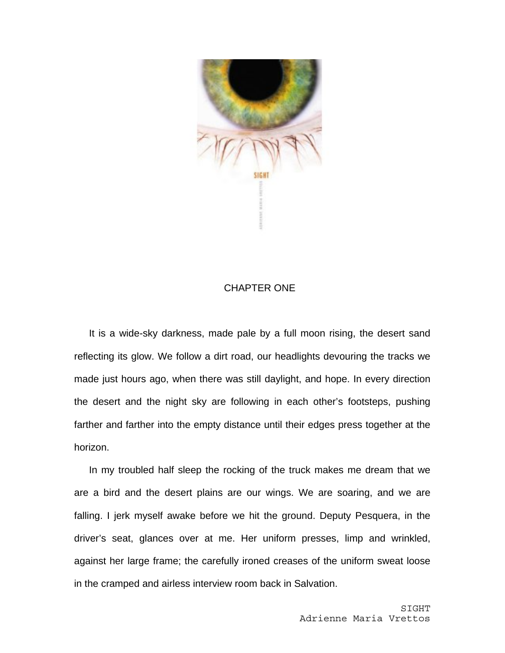

## CHAPTER ONE

It is a wide-sky darkness, made pale by a full moon rising, the desert sand reflecting its glow. We follow a dirt road, our headlights devouring the tracks we made just hours ago, when there was still daylight, and hope. In every direction the desert and the night sky are following in each other's footsteps, pushing farther and farther into the empty distance until their edges press together at the horizon.

In my troubled half sleep the rocking of the truck makes me dream that we are a bird and the desert plains are our wings. We are soaring, and we are falling. I jerk myself awake before we hit the ground. Deputy Pesquera, in the driver's seat, glances over at me. Her uniform presses, limp and wrinkled, against her large frame; the carefully ironed creases of the uniform sweat loose in the cramped and airless interview room back in Salvation.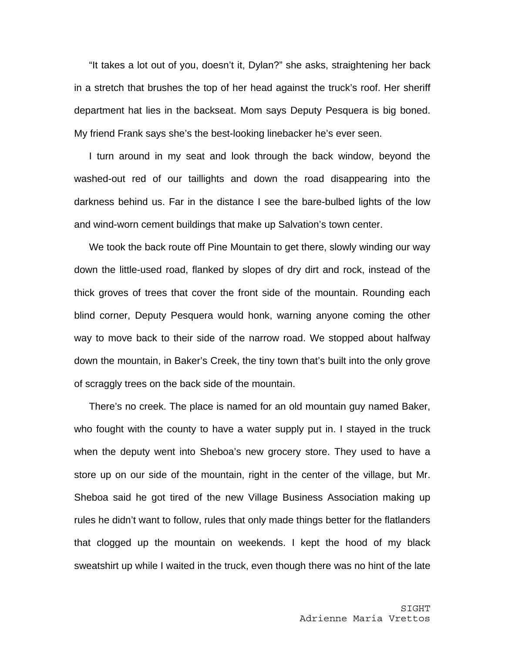"It takes a lot out of you, doesn't it, Dylan?" she asks, straightening her back in a stretch that brushes the top of her head against the truck's roof. Her sheriff department hat lies in the backseat. Mom says Deputy Pesquera is big boned. My friend Frank says she's the best-looking linebacker he's ever seen.

I turn around in my seat and look through the back window, beyond the washed-out red of our taillights and down the road disappearing into the darkness behind us. Far in the distance I see the bare-bulbed lights of the low and wind-worn cement buildings that make up Salvation's town center.

We took the back route off Pine Mountain to get there, slowly winding our way down the little-used road, flanked by slopes of dry dirt and rock, instead of the thick groves of trees that cover the front side of the mountain. Rounding each blind corner, Deputy Pesquera would honk, warning anyone coming the other way to move back to their side of the narrow road. We stopped about halfway down the mountain, in Baker's Creek, the tiny town that's built into the only grove of scraggly trees on the back side of the mountain.

There's no creek. The place is named for an old mountain guy named Baker, who fought with the county to have a water supply put in. I stayed in the truck when the deputy went into Sheboa's new grocery store. They used to have a store up on our side of the mountain, right in the center of the village, but Mr. Sheboa said he got tired of the new Village Business Association making up rules he didn't want to follow, rules that only made things better for the flatlanders that clogged up the mountain on weekends. I kept the hood of my black sweatshirt up while I waited in the truck, even though there was no hint of the late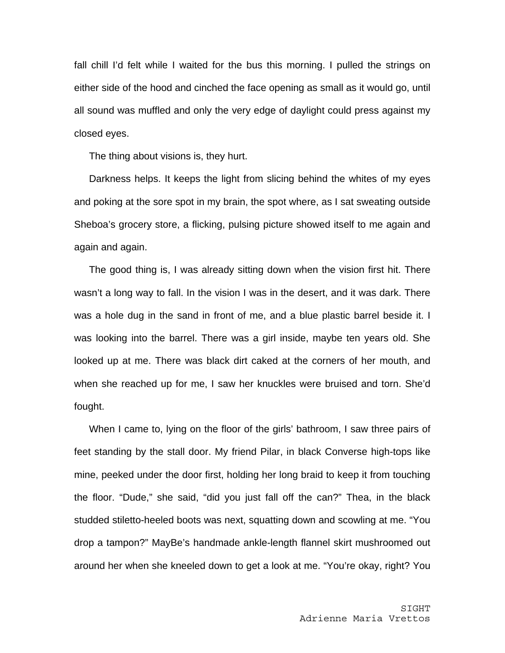fall chill I'd felt while I waited for the bus this morning. I pulled the strings on either side of the hood and cinched the face opening as small as it would go, until all sound was muffled and only the very edge of daylight could press against my closed eyes.

The thing about visions is, they hurt.

Darkness helps. It keeps the light from slicing behind the whites of my eyes and poking at the sore spot in my brain, the spot where, as I sat sweating outside Sheboa's grocery store, a flicking, pulsing picture showed itself to me again and again and again.

The good thing is, I was already sitting down when the vision first hit. There wasn't a long way to fall. In the vision I was in the desert, and it was dark. There was a hole dug in the sand in front of me, and a blue plastic barrel beside it. I was looking into the barrel. There was a girl inside, maybe ten years old. She looked up at me. There was black dirt caked at the corners of her mouth, and when she reached up for me, I saw her knuckles were bruised and torn. She'd fought.

When I came to, lying on the floor of the girls' bathroom, I saw three pairs of feet standing by the stall door. My friend Pilar, in black Converse high-tops like mine, peeked under the door first, holding her long braid to keep it from touching the floor. "Dude," she said, "did you just fall off the can?" Thea, in the black studded stiletto-heeled boots was next, squatting down and scowling at me. "You drop a tampon?" MayBe's handmade ankle-length flannel skirt mushroomed out around her when she kneeled down to get a look at me. "You're okay, right? You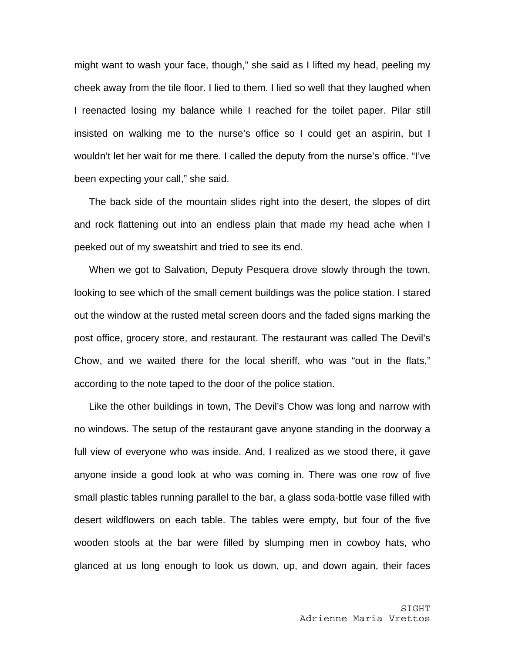might want to wash your face, though," she said as I lifted my head, peeling my cheek away from the tile floor. I lied to them. I lied so well that they laughed when I reenacted losing my balance while I reached for the toilet paper. Pilar still insisted on walking me to the nurse's office so I could get an aspirin, but I wouldn't let her wait for me there. I called the deputy from the nurse's office. "I've been expecting your call," she said.

The back side of the mountain slides right into the desert, the slopes of dirt and rock flattening out into an endless plain that made my head ache when I peeked out of my sweatshirt and tried to see its end.

When we got to Salvation, Deputy Pesquera drove slowly through the town, looking to see which of the small cement buildings was the police station. I stared out the window at the rusted metal screen doors and the faded signs marking the post office, grocery store, and restaurant. The restaurant was called The Devil's Chow, and we waited there for the local sheriff, who was "out in the flats," according to the note taped to the door of the police station.

Like the other buildings in town, The Devil's Chow was long and narrow with no windows. The setup of the restaurant gave anyone standing in the doorway a full view of everyone who was inside. And, I realized as we stood there, it gave anyone inside a good look at who was coming in. There was one row of five small plastic tables running parallel to the bar, a glass soda-bottle vase filled with desert wildflowers on each table. The tables were empty, but four of the five wooden stools at the bar were filled by slumping men in cowboy hats, who glanced at us long enough to look us down, up, and down again, their faces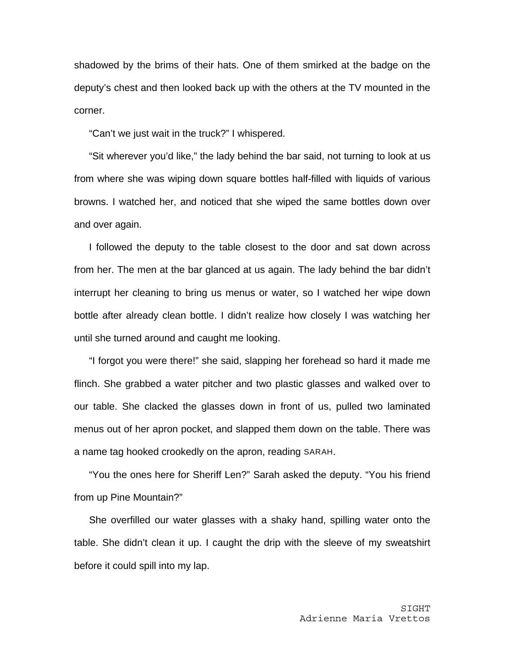shadowed by the brims of their hats. One of them smirked at the badge on the deputy's chest and then looked back up with the others at the TV mounted in the corner.

"Can't we just wait in the truck?" I whispered.

"Sit wherever you'd like," the lady behind the bar said, not turning to look at us from where she was wiping down square bottles half-filled with liquids of various browns. I watched her, and noticed that she wiped the same bottles down over and over again.

I followed the deputy to the table closest to the door and sat down across from her. The men at the bar glanced at us again. The lady behind the bar didn't interrupt her cleaning to bring us menus or water, so I watched her wipe down bottle after already clean bottle. I didn't realize how closely I was watching her until she turned around and caught me looking.

"I forgot you were there!" she said, slapping her forehead so hard it made me flinch. She grabbed a water pitcher and two plastic glasses and walked over to our table. She clacked the glasses down in front of us, pulled two laminated menus out of her apron pocket, and slapped them down on the table. There was a name tag hooked crookedly on the apron, reading SARAH.

"You the ones here for Sheriff Len?" Sarah asked the deputy. "You his friend from up Pine Mountain?"

She overfilled our water glasses with a shaky hand, spilling water onto the table. She didn't clean it up. I caught the drip with the sleeve of my sweatshirt before it could spill into my lap.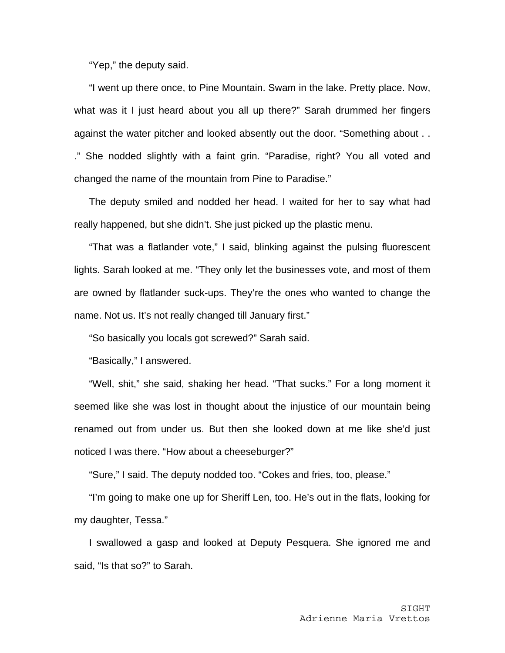"Yep," the deputy said.

"I went up there once, to Pine Mountain. Swam in the lake. Pretty place. Now, what was it I just heard about you all up there?" Sarah drummed her fingers against the water pitcher and looked absently out the door. "Something about . . ." She nodded slightly with a faint grin. "Paradise, right? You all voted and changed the name of the mountain from Pine to Paradise."

The deputy smiled and nodded her head. I waited for her to say what had really happened, but she didn't. She just picked up the plastic menu.

"That was a flatlander vote," I said, blinking against the pulsing fluorescent lights. Sarah looked at me. "They only let the businesses vote, and most of them are owned by flatlander suck-ups. They're the ones who wanted to change the name. Not us. It's not really changed till January first."

"So basically you locals got screwed?" Sarah said.

"Basically," I answered.

"Well, shit," she said, shaking her head. "That sucks." For a long moment it seemed like she was lost in thought about the injustice of our mountain being renamed out from under us. But then she looked down at me like she'd just noticed I was there. "How about a cheeseburger?"

"Sure," I said. The deputy nodded too. "Cokes and fries, too, please."

"I'm going to make one up for Sheriff Len, too. He's out in the flats, looking for my daughter, Tessa."

I swallowed a gasp and looked at Deputy Pesquera. She ignored me and said, "Is that so?" to Sarah.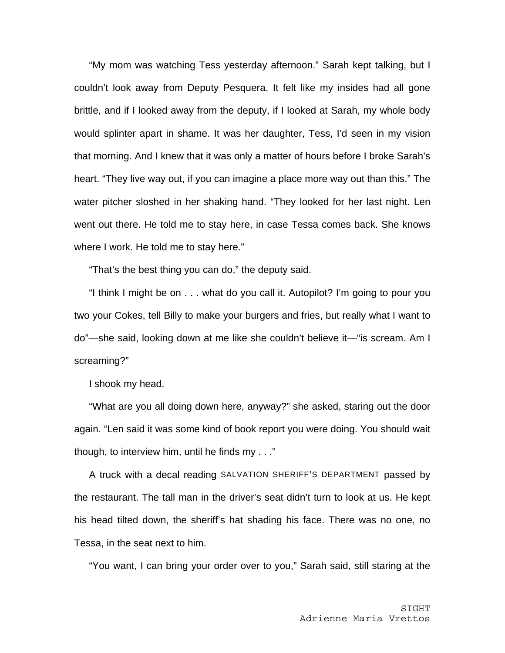"My mom was watching Tess yesterday afternoon." Sarah kept talking, but I couldn't look away from Deputy Pesquera. It felt like my insides had all gone brittle, and if I looked away from the deputy, if I looked at Sarah, my whole body would splinter apart in shame. It was her daughter, Tess, I'd seen in my vision that morning. And I knew that it was only a matter of hours before I broke Sarah's heart. "They live way out, if you can imagine a place more way out than this." The water pitcher sloshed in her shaking hand. "They looked for her last night. Len went out there. He told me to stay here, in case Tessa comes back. She knows where I work. He told me to stay here."

"That's the best thing you can do," the deputy said.

"I think I might be on . . . what do you call it. Autopilot? I'm going to pour you two your Cokes, tell Billy to make your burgers and fries, but really what I want to do"—she said, looking down at me like she couldn't believe it—"is scream. Am I screaming?"

I shook my head.

"What are you all doing down here, anyway?" she asked, staring out the door again. "Len said it was some kind of book report you were doing. You should wait though, to interview him, until he finds my . . ."

A truck with a decal reading SALVATION SHERIFF'S DEPARTMENT passed by the restaurant. The tall man in the driver's seat didn't turn to look at us. He kept his head tilted down, the sheriff's hat shading his face. There was no one, no Tessa, in the seat next to him.

"You want, I can bring your order over to you," Sarah said, still staring at the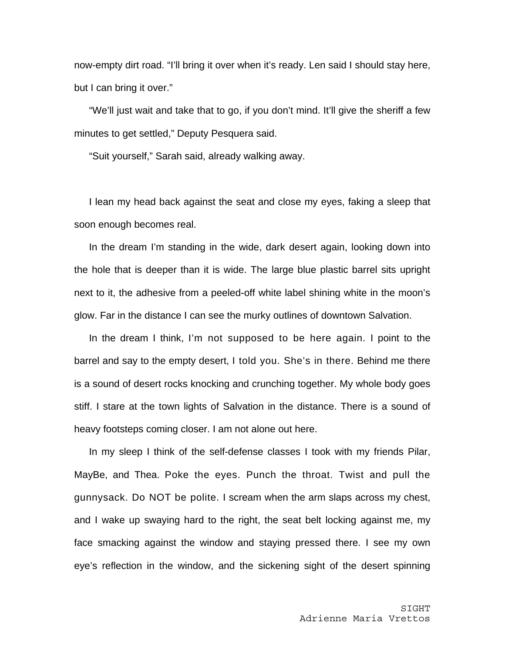now-empty dirt road. "I'll bring it over when it's ready. Len said I should stay here, but I can bring it over."

"We'll just wait and take that to go, if you don't mind. It'll give the sheriff a few minutes to get settled," Deputy Pesquera said.

"Suit yourself," Sarah said, already walking away.

I lean my head back against the seat and close my eyes, faking a sleep that soon enough becomes real.

In the dream I'm standing in the wide, dark desert again, looking down into the hole that is deeper than it is wide. The large blue plastic barrel sits upright next to it, the adhesive from a peeled-off white label shining white in the moon's glow. Far in the distance I can see the murky outlines of downtown Salvation.

In the dream I think, I'm not supposed to be here again. I point to the barrel and say to the empty desert, I told you. She's in there. Behind me there is a sound of desert rocks knocking and crunching together. My whole body goes stiff. I stare at the town lights of Salvation in the distance. There is a sound of heavy footsteps coming closer. I am not alone out here.

In my sleep I think of the self-defense classes I took with my friends Pilar, MayBe, and Thea. Poke the eyes. Punch the throat. Twist and pull the gunnysack. Do NOT be polite. I scream when the arm slaps across my chest, and I wake up swaying hard to the right, the seat belt locking against me, my face smacking against the window and staying pressed there. I see my own eye's reflection in the window, and the sickening sight of the desert spinning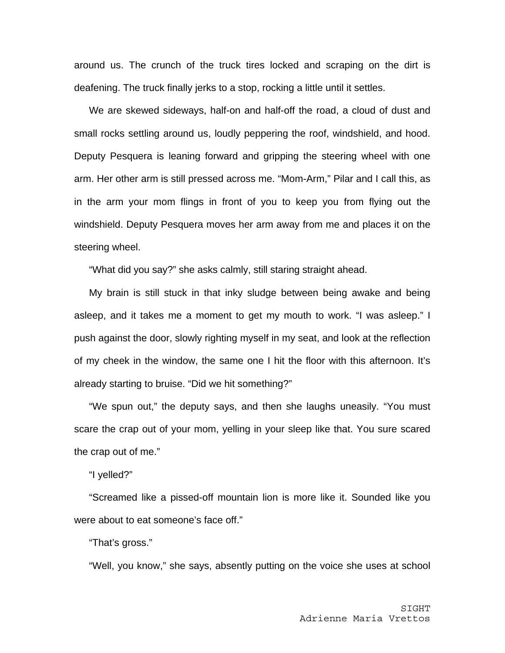around us. The crunch of the truck tires locked and scraping on the dirt is deafening. The truck finally jerks to a stop, rocking a little until it settles.

We are skewed sideways, half-on and half-off the road, a cloud of dust and small rocks settling around us, loudly peppering the roof, windshield, and hood. Deputy Pesquera is leaning forward and gripping the steering wheel with one arm. Her other arm is still pressed across me. "Mom-Arm," Pilar and I call this, as in the arm your mom flings in front of you to keep you from flying out the windshield. Deputy Pesquera moves her arm away from me and places it on the steering wheel.

"What did you say?" she asks calmly, still staring straight ahead.

My brain is still stuck in that inky sludge between being awake and being asleep, and it takes me a moment to get my mouth to work. "I was asleep." I push against the door, slowly righting myself in my seat, and look at the reflection of my cheek in the window, the same one I hit the floor with this afternoon. It's already starting to bruise. "Did we hit something?"

"We spun out," the deputy says, and then she laughs uneasily. "You must scare the crap out of your mom, yelling in your sleep like that. You sure scared the crap out of me."

"I yelled?"

"Screamed like a pissed-off mountain lion is more like it. Sounded like you were about to eat someone's face off."

"That's gross."

"Well, you know," she says, absently putting on the voice she uses at school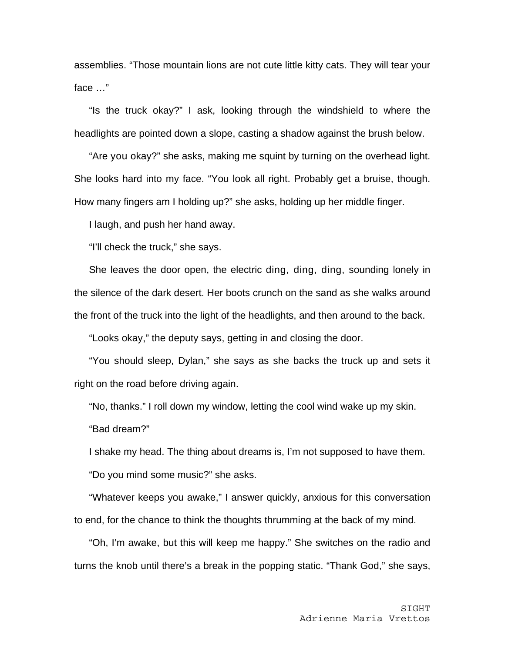assemblies. "Those mountain lions are not cute little kitty cats. They will tear your face …"

"Is the truck okay?" I ask, looking through the windshield to where the headlights are pointed down a slope, casting a shadow against the brush below.

"Are you okay?" she asks, making me squint by turning on the overhead light. She looks hard into my face. "You look all right. Probably get a bruise, though. How many fingers am I holding up?" she asks, holding up her middle finger.

I laugh, and push her hand away.

"I'll check the truck," she says.

She leaves the door open, the electric ding, ding, ding, sounding lonely in the silence of the dark desert. Her boots crunch on the sand as she walks around the front of the truck into the light of the headlights, and then around to the back.

"Looks okay," the deputy says, getting in and closing the door.

"You should sleep, Dylan," she says as she backs the truck up and sets it right on the road before driving again.

"No, thanks." I roll down my window, letting the cool wind wake up my skin.

"Bad dream?"

I shake my head. The thing about dreams is, I'm not supposed to have them.

"Do you mind some music?" she asks.

"Whatever keeps you awake," I answer quickly, anxious for this conversation to end, for the chance to think the thoughts thrumming at the back of my mind.

"Oh, I'm awake, but this will keep me happy." She switches on the radio and turns the knob until there's a break in the popping static. "Thank God," she says,